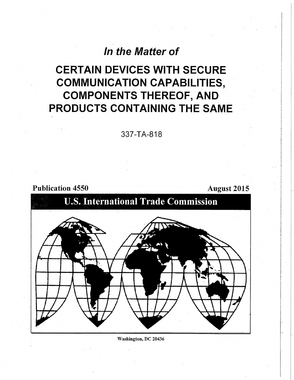## **In the Matter of**

# **CERTAIN DEVICES WITH SECURE COMMUNICATION CAPABILITIES, COMPONENTS THEREOF, AND PRODUCTS CONTAINING THE SAME**

**337-TA-818** 

Publication 4550 **August 2015** 



**Washington, DC 20436**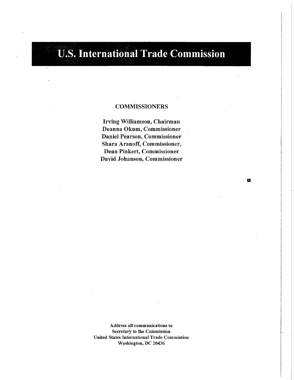# **U.S. International Trade Commission**

### **COMMISSIONERS**

**Irving Williamson, Chairman Deanna Okum, Commissioner Daniel Pearson, Commissioner Shara Aranoff, Commissioner, Dean Pinkert, Commissioner David Johanson, Commissioner** 

置

**Address all communications to Secretary to the Commission United States International Trade Commission Washington, DC 20436**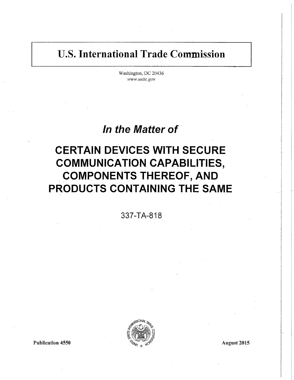## **U.S. International Trade Commission**

Washington, DC 20436 *www.mitc.gov* 

## **In the Matter of**

# **CERTAIN DEVICES WITH SECURE COMMUNICATION CAPABILITIES, COMPONENTS THEREOF, AND PRODUCTS CONTAINING THE SAME**

**337-TA-818** 

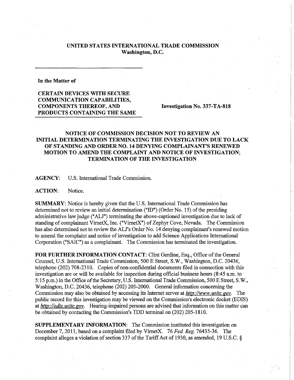#### **UNITED STATES INTERNATIONAL TRADE COMMISSION Washington, D.C.**

#### **In the Matter of**

**CERTAIN DEVICES WITH SECURE COMMUNICATION CAPABILITIES, COMPONENTS THEREOF, AND Investigation No. 337-TA-818 PRODUCTS CONTAINING THE SAME** 

#### **NOTICE OF COMMISSION DECISION NOT TO REVIEW AN INITIAL DETERMINATION TERMINATING THE INVESTIGATION DUE TO LACK OF STANDING AND ORDER NO. 14 DENYING COMPLAINANT'S RENEWED MOTION TO AMEND THE COMPLAINT AND NOTICE OF INVESTIGATION; TERMINATION OF THE INVESTIGATION**

**AGENCY:** U.S. International Trade Commission.

**ACTION:** Notice.

**SUMMARY:** Notice is hereby given that the U.S. International Trade Commission has determined not to review an initial determination ("ID") (Order No. 15) of the presiding administrative law judge ("ALJ") terminating the above-captioned investigation due to lack of standing of complainant VirnetX, Inc. ("VirnetX") of Zephyr Cove, Nevada. The Commission has also determined not to review the ALJ's Order No. 14 denying complainant's renewed motion to amend the complaint and notice of investigation to add Science Applications International Corporation ("SAIC") as a complainant. The Commission has terminated the investigation.

FOR FURTHER INFORMATION CONTACT: Clint Gerdine, Esq., Office of the General Counsel, U.S. International Trade Commission, 500 E Street, S.W., Washington, D.C. 20436, telephone (202) 708-2310. Copies of non-confidential documents filed in connection with this investigation are or will be available for inspection during official business hours (8:45 a.m. to 5:15 p.m.) in the Office of the Secretary, U.S. International Trade Commission, 500 E Street, S.W., Washington, D.C. 20436, telephone (202) 205-2000. General information concerning the Commission may also be obtained by accessing its Internet server at *http://www, usitc. gov.* The public record for this investigation may be viewed on the Commission's electronic docket (EDIS) at *http://edis. usitc. gov.* Hearing-impaired persons are advised that information on this matter can be obtained by contacting the Commission's TDD terminal on (202) 205-1810.

**SUPPLEMENTARY INFORMATION:** The Commission instituted this investigation on December 7,2011, based on a complaint filed by VirnetX. 76 *Fed. Reg.* 76435-36. The complaint alleges a violation of section 337 of the Tariff Act of 1930, as amended, 19 U.S.C. §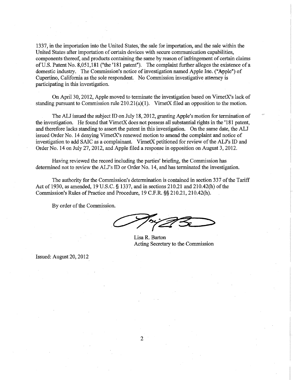1337, in the importation into the United States, the sale for importation, and the sale within the United States after importation of certain devices with secure communication capabilities, components thereof, and products containing the same by reason of infringement of certain claims of U.S. Patent No. 8,051,181 ("the '181 patent"). The complaint further alleges the existence of a domestic industry. The Commission's notice of investigation named Apple hie. ("Apple") of Cupertino, California as the sole respondent. No Commission investigative attorney is participating in this investigation.

On April 30, 2012, Apple moved to terminate the investigation based on VirnetX's lack of standing pursuant to Commission rule 210.21(a)(1). VirnetX filed an opposition to the motion.

The ALJ issued the subject ID on July 18,2012, granting Apple's motion for termination of the investigation. He found that VirnetX does not possess all substantial rights in the ' 181 patent, and therefore lacks standing to assert the patent in this investigation. On the same date, the ALJ issued Order No. 14 denying VirnetX's renewed motion to amend the complaint and notice of investigation to add SAIC as a complainant. VirnetX petitioned for review of the ALJ's ID and Order No. 14 on July 27, 2012, and Apple filed a response in opposition on August 3, 2012.

Having reviewed the record including the parties' briefing, the Commission has determined not to review the ALJ's ID or Order No. 14, and has terminated the investigation.

The authority for the Commission's determination is contained in section 337 ofthe Tariff Act of 1930, as amended, 19 U.S.C. § 1337, and in sections 210.21 and 210.42(h) of the Commission's Rules of Practice and Procedure, 19 C.F.R. §§ 210.21, 210.42(h).

By order of the Commission.

Lisa R. Barton Acting Secretary to the Commission

Issued: August 20, 2012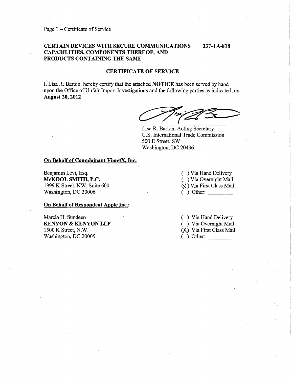Page 1 – Certificate of Service

#### **CERTAIN DEVICES WITH SECURE COMMUNICATIONS 337-TA-818 CAPABILITIES, COMPONENTS THEREOF, AND PRODUCTS CONTAINING THE SAME**

**CERTIFICATE OF SERVICE** 

I, Lisa R. Barton, hereby certify that the attached **NOTICE** has been served by hand upon the Office of Unfair Import Investigations and the following parties as indicated, on **August 20,2012** 

Lisa R. Barton, Acting Secretary U.S. International Trade Commission 500 E Street, SW Washington, DC 20436

#### **On Behalf of Complainant VimetX, Inc.**

Benjamin Levi, Esq. **McKOOL SMITH, P.C.**  1999 K Street, NW, Suite 600 Washington, DC 20006

**On Behalf of Respondent Apple Inc.:** 

Marcia H. Sundeen **KEN YON & KEN YON LLP**  1500 K Street, N.W. Washington, DC 20005

( ) Via Hand Delivery ( ) Via Overnight Mail (X) Via First Class Mail  $($   $)$  Other:

( ) Via Hand Delivery ( ) Via Overnight Mail (X) Via First Class Mail ( ) Other: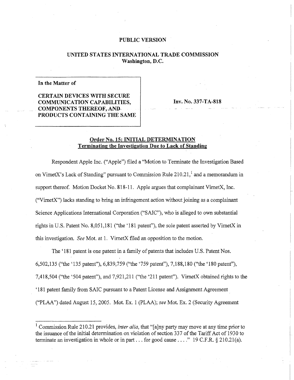#### PUBLIC VERSION

#### UNITED STATES INTERNATIONAL TRADE COMMISSION Washington, D.C.

#### In the Matter of

CERTAIN DEVICES WITH SECURE COMMUNICATION CAPABILITIES, COMPONENTS THEREOF, AND PRODUCTS CONTAINING THE SAME

Inv. No. 337-TA-818

#### Order No. 15: INITIAL DETERMINATION Terminating the Investigation Due to Lack of Standing

Respondent Apple Inc. ("Apple") filed a "Motion to Terminate the Investigation Based on VirnetX's Lack of Standing" pursuant to Commission Rule  $210.21$ , and a memorandum in support thereof. Motion Docket No. 818-11. Apple argues that complainant VirnetX, Inc. ("VirnetX") lacks standing to bring an infringement action without joining as a complainant Science Applications International Corporation ("SAIC"), who is alleged to own substantial rights in U.S. Patent No. 8,051,181 ("the '181 patent"), the sole patent asserted by VirnetX in this investigation. *See* Mot. at 1. VirnetX filed an opposition to the motion.

The '181 patent is one patent in a family of patents that includes U.S. Patent Nos, 6,502,135 ("the '135 patent"), 6,839,759 ("the '759 patent"), 7,188,180 ("the '180 patent"), 7,418,504 ("the '504 patent"), and 7,921,211 ("the '211 patent"). VirnetX obtained rights to the '181 patent family from SAIC pursuant to a Patent License and Assignment Agreement ("PLAA") dated August 15,2005. Mot. Ex. 1 (PLAA); *see* Mot. Ex. 2 (Security Agreement

<sup>&</sup>lt;sup>1</sup> Commission Rule 210.21 provides, *inter alia*, that "[a]ny party may move at any time prior to the issuance ofthe initial determination on violation of section 337 of the Tariff Act of 1930 to terminate an investigation in whole or in part... for good cause ...." 19 C.F.R. § 210.21(a).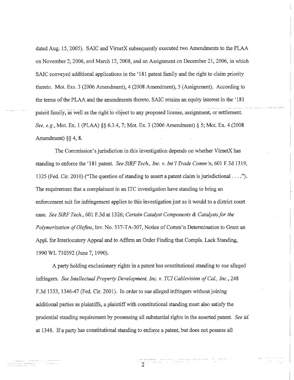dated Aug. 15,2005). SAIC and VirnetX subsequently executed two Amendments to the PLAA on November 2,2006, and March 12, 2008, and an Assignment on December 21,2006, in which SAIC conveyed additional applications in the '181 patent family and the right to claim priority thereto. Mot. Exs. 3 (2006 Amendment), 4 (2008 Amendment), 5 (Assignment). According to the terms of the PLAA and the amendments thereto, SAIC retains an equity interest in the '181 patent family, as well as the right to object to any proposed license, assignment, or settlement. *See, e.g.,* Mot. Ex. 1 (PLAA) §§ 6.3.4, 7; Mot. Ex. 3 (2006 Amendment) § 5; Mot. Ex. 4 (2008 Amendment) §§ 4, 8.

The Commission's jurisdiction in this investigation depends on whether VirnetX has standing to enforce the '181 patent *See SiRFTech., Inc. v. Int'l Trade Comm'n,* 601 F.3d 1319, 1325 (Fed. Cir. 2010) ("The question of standing to assert a patent claim is jurisdictional,...").. The requirement that a complainant in an ITC investigation have standing to bring an enforcement suit for infringement applies to this investigation just as it would to a district court case. *See SiRF Tech,* 601 F.3d at 1326; *Certain Catalyst Components & Catalysts for the Polymerization of Olefins,* Inv. No. 337-TA-307, Notice of Comm'n Determination to Grant an Appl. for Interlocutory Appeal and to Affirm an Order Finding that Compls. Lack Standing, 1990 WL 710392 (June *1,*1990).

A party holding exclusionary rights in a patent has constitutional standing to sue alleged infringers. *See Intellectual Property Development, Inc. v. TCICablevision of Cal, Inc.,* 248 F.3d 1333,1346-47 (Fed. Cir. 2001). In order to sue alleged infringers without joining additional parties as plaintiffs, a plaintiff with constitutional standing must also satisfy the prudential standing requirement by possessing all substantial rights in the asserted patent. *See id.*  at 1348. If a party has constitutional standing to enforce a patent, but does not possess all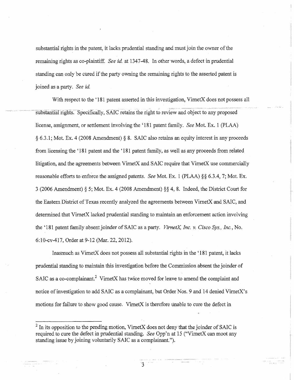substantial rights in the patent, it lacks prudential standing and must join the owner of the remaining rights as co-plaintiff. *See id.* at 1347-48. In other words, a defect in prudential standing can only be cured if the party owning the remaining rights to the asserted patent is joined as a party. *See id.* 

With respect to the '181 patent asserted in this investigation, VirnetX does not possess all substantial rights. Specifically, SAIC retains the right to review and object to any proposed license, assignment, or settlement involving the '181 patent family. *See* Mot. Ex. 1 (PLAA) § 6.3.1; Mot. Ex. 4 (2008 Amendment) § 8. SAIC also retains an equity interest in any proceeds from licensing the ' 181 patent and the \* 181 patent family, as well as any proceeds from related litigation, and the agreements between VirnetX and SAIC require that VimetX use commercially reasonable efforts to enforce the assigned patents. *See* Mot. Ex. 1 (PLAA) §§ 6.3.4, 7; Mot. Ex. 3 (2006 Amendment) § 5; Mot. Ex. 4 (2008 Amendment) §§ 4, 8. Indeed, the District Court for the Eastern District of Texas recently analyzed the agreements between VirnetX and SAIC, and determined that VirnetX lacked prudential standing to maintain an enforcement action involving the '181 patent family absent joinder of SAIC as a party. *VirnetX, Inc. v. Cisco Sys., Inc.,* No. 6;10-cv-417, Order at 9-12 (Mar. 22, 2012).

Inasmuch as VirnetX does not possess all substantial rights in the ' 181 patent, it lacks prudential standing to maintain this investigation before the Commission absent the joinder of SAIC as a co-complainant.<sup>2</sup> VirnetX has twice moved for leave to amend the complaint and notice of investigation to add SAIC as a complainant, but Order Nos. 9 and 14 denied VirnetX's motions for failure to show good cause. VirnetX is therefore unable to cure the defect in

 $2^2$  In its opposition to the pending motion, VirnetX does not deny that the joinder of SAIC is required to cure the defect in prudential standing. *See* Opp'n at 15 ("VirnetX can moot any standing issue by joining voluntarily SAIC as a complainant.").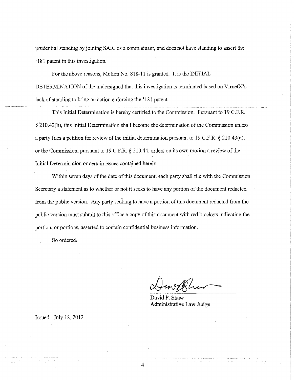prudential standing by joining SAIC as a complainant, and does not have standing to assert the '181 patent in this investigation.

For the above reasons, Motion No. 818-11 is granted. It is the INITIAL DETERMINATION of the undersigned that this investigation is terminated based on VirnetX's lack of standing to bring an action enforcing the ' 181 patent.

This Initial Determination is hereby certified to the Commission. Pursuant to 19 C.F.R. § 210.42(h), this Initial Determination shall become the determination of the Commission unless a party files a petition for review of the initial determination pursuant to 19 C.F.R. § 210.43(a), or the Commission, pursuant to 19 C.F.R. § 210.44, orders on its own motion a review of the Initial Determination or certain issues contained herein.

Within seven days of the date of this document, each party shall file with the Commission Secretary a statement as to whether or not it seeks to have any portion of the document redacted from the public version. Any party seeking to have a portion of this document redacted from the public version must submit to this office a copy of this document with red brackets indicating the portion, or portions, asserted to contain confidential business information.

So ordered.

David P. Shaw Administrative Law Judge

Issued: July 18,2012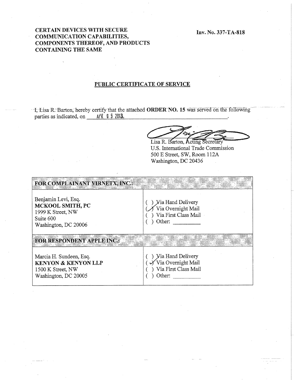Inv. No. 337-TA-818

#### CERTAIN DEVICES WITH SECURE COMMUNICATION CAPABILITIES, COMPONENTS THEREOF, AND PRODUCTS CONTAINING THE SAME

#### PUBLIC CERTIFICATE OF SERVICE

I, Lisa R. Barton, hereby certify that the attached ORDER NO. 15 was served on the following parties as indicated, on  $\frac{APR}{I}$  **8** 2013.

Lisa R. Barton, Acting Secretary

U.S. International Trade Commission 500 E Street, SW, Room 112A Washington, DC 20436

| FOR COMPLAINANT VIRNETX, INC.:                                                                         |                                                                                               |
|--------------------------------------------------------------------------------------------------------|-----------------------------------------------------------------------------------------------|
| Benjamin Levi, Esq.<br>MCKOOL SMITH, PC<br>1999 K Street, NW<br>Suite 600<br>Washington, DC 20006      | <b>Yia Hand Delivery</b><br>Via Overnight Mail<br>Via First Class Mail<br>Other:              |
| <b>FOR RESPONDENT APPLIE INC.:</b>                                                                     |                                                                                               |
| Marcia H. Sundeen, Esq.<br><b>KENYON &amp; KENYON LLP</b><br>1500 K Street, NW<br>Washington, DC 20005 | <b>Yia Hand Delivery</b><br>$\checkmark$ Via Overnight Mail<br>Via First Class Mail<br>Other: |